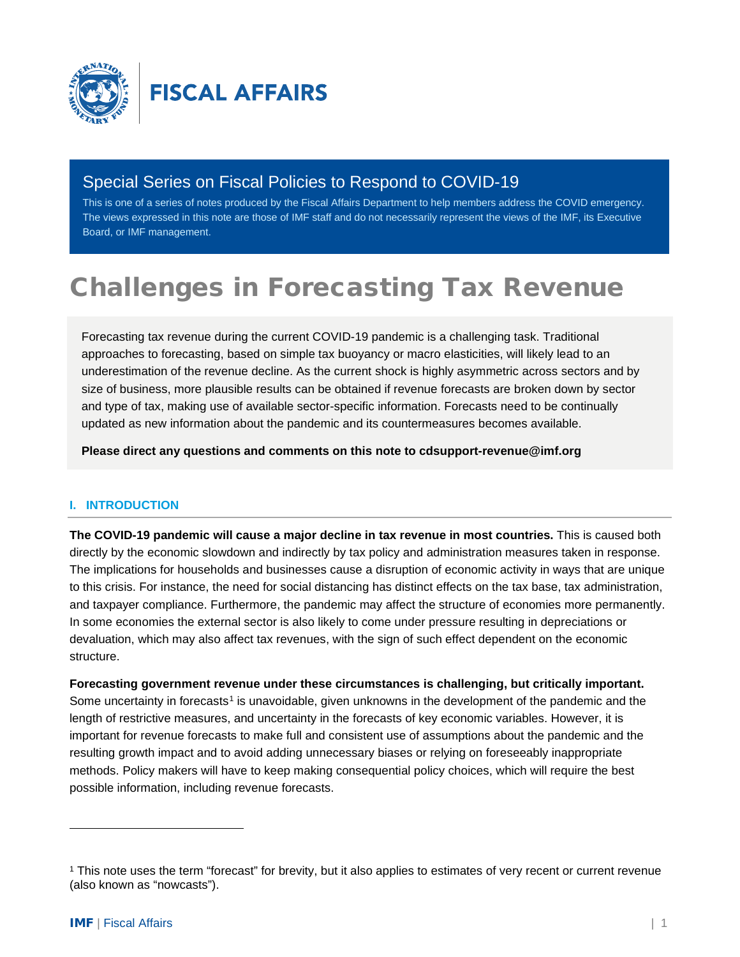

# Special Series on Fiscal Policies to Respond to COVID-19

This is one of a series of notes produced by the Fiscal Affairs Department to help members address the COVID emergency. The views expressed in this note are those of IMF staff and do not necessarily represent the views of the IMF, its Executive Board, or IMF management.

# Challenges in Forecasting Tax Revenue

Forecasting tax revenue during the current COVID-19 pandemic is a challenging task. Traditional approaches to forecasting, based on simple tax buoyancy or macro elasticities, will likely lead to an underestimation of the revenue decline. As the current shock is highly asymmetric across sectors and by size of business, more plausible results can be obtained if revenue forecasts are broken down by sector and type of tax, making use of available sector-specific information. Forecasts need to be continually updated as new information about the pandemic and its countermeasures becomes available.

**Please direct any questions and comments on this note to cdsupport-revenue@imf.org**

#### **I. INTRODUCTION**

**The COVID-19 pandemic will cause a major decline in tax revenue in most countries.** This is caused both directly by the economic slowdown and indirectly by tax policy and administration measures taken in response. The implications for households and businesses cause a disruption of economic activity in ways that are unique to this crisis. For instance, the need for social distancing has distinct effects on the tax base, tax administration, and taxpayer compliance. Furthermore, the pandemic may affect the structure of economies more permanently. In some economies the external sector is also likely to come under pressure resulting in depreciations or devaluation, which may also affect tax revenues, with the sign of such effect dependent on the economic structure.

**Forecasting government revenue under these circumstances is challenging, but critically important.** Some uncertainty in forecasts<sup>[1](#page-0-0)</sup> is unavoidable, given unknowns in the development of the pandemic and the length of restrictive measures, and uncertainty in the forecasts of key economic variables. However, it is important for revenue forecasts to make full and consistent use of assumptions about the pandemic and the resulting growth impact and to avoid adding unnecessary biases or relying on foreseeably inappropriate methods. Policy makers will have to keep making consequential policy choices, which will require the best possible information, including revenue forecasts.

<span id="page-0-0"></span><sup>1</sup> This note uses the term "forecast" for brevity, but it also applies to estimates of very recent or current revenue (also known as "nowcasts").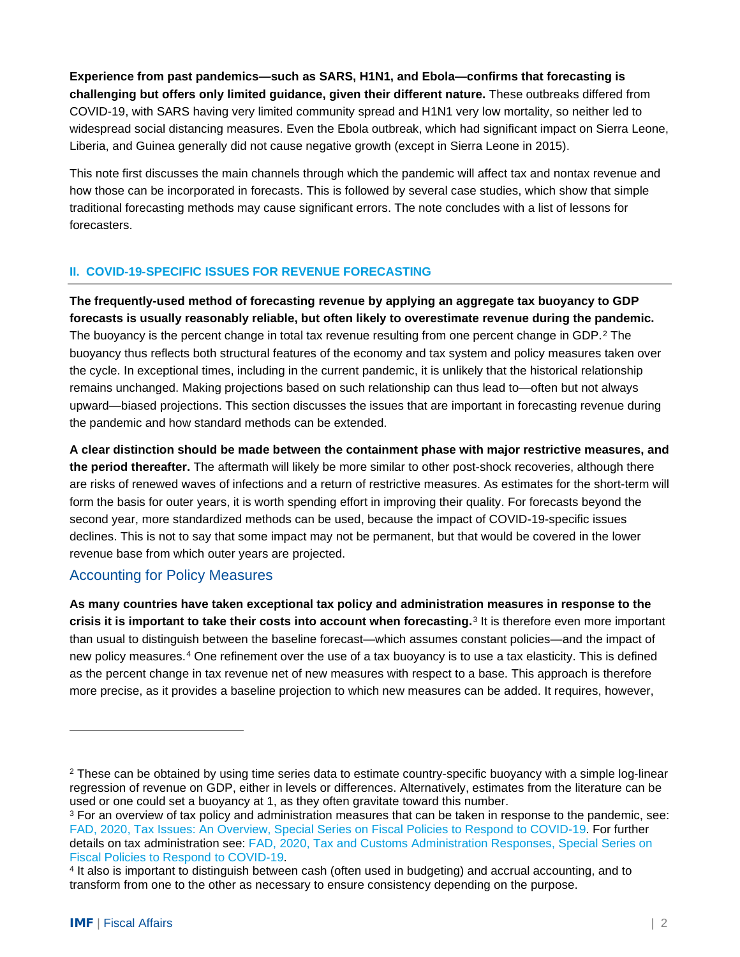**Experience from past pandemics—such as SARS, H1N1, and Ebola—confirms that forecasting is challenging but offers only limited guidance, given their different nature.** These outbreaks differed from COVID-19, with SARS having very limited community spread and H1N1 very low mortality, so neither led to widespread social distancing measures. Even the Ebola outbreak, which had significant impact on Sierra Leone, Liberia, and Guinea generally did not cause negative growth (except in Sierra Leone in 2015).

This note first discusses the main channels through which the pandemic will affect tax and nontax revenue and how those can be incorporated in forecasts. This is followed by several case studies, which show that simple traditional forecasting methods may cause significant errors. The note concludes with a list of lessons for forecasters.

#### **II. COVID-19-SPECIFIC ISSUES FOR REVENUE FORECASTING**

**The frequently-used method of forecasting revenue by applying an aggregate tax buoyancy to GDP forecasts is usually reasonably reliable, but often likely to overestimate revenue during the pandemic.** The buoyancy is the percent change in total tax revenue resulting from one percent change in GDP.[2](#page-1-0) The buoyancy thus reflects both structural features of the economy and tax system and policy measures taken over the cycle. In exceptional times, including in the current pandemic, it is unlikely that the historical relationship remains unchanged. Making projections based on such relationship can thus lead to—often but not always upward—biased projections. This section discusses the issues that are important in forecasting revenue during the pandemic and how standard methods can be extended.

**A clear distinction should be made between the containment phase with major restrictive measures, and the period thereafter.** The aftermath will likely be more similar to other post-shock recoveries, although there are risks of renewed waves of infections and a return of restrictive measures. As estimates for the short-term will form the basis for outer years, it is worth spending effort in improving their quality. For forecasts beyond the second year, more standardized methods can be used, because the impact of COVID-19-specific issues declines. This is not to say that some impact may not be permanent, but that would be covered in the lower revenue base from which outer years are projected.

#### Accounting for Policy Measures

**As many countries have taken exceptional tax policy and administration measures in response to the crisis it is important to take their costs into account when forecasting.**[3](#page-1-1) It is therefore even more important than usual to distinguish between the baseline forecast—which assumes constant policies—and the impact of new policy measures.[4](#page-1-2) One refinement over the use of a tax buoyancy is to use a tax elasticity. This is defined as the percent change in tax revenue net of new measures with respect to a base. This approach is therefore more precise, as it provides a baseline projection to which new measures can be added. It requires, however,

<span id="page-1-0"></span><sup>&</sup>lt;sup>2</sup> These can be obtained by using time series data to estimate country-specific buoyancy with a simple log-linear regression of revenue on GDP, either in levels or differences. Alternatively, estimates from the literature can be used or one could set a buoyancy at 1, as they often gravitate toward this number.

<span id="page-1-1"></span><sup>&</sup>lt;sup>3</sup> For an overview of tax policy and administration measures that can be taken in response to the pandemic, see: [FAD, 2020, Tax Issues: An Overview, Special Series on Fiscal Policies to Respond to COVID-19.](https://www.imf.org/%7E/media/Files/Publications/covid19-special-notes/special-series-on-covid-19-tax-issues-an-overview.ashx?la=en) For further details on tax administration see: FAD, 2020, Tax and Customs Administration Responses, Special Series on [Fiscal Policies to Respond to COVID-19.](https://www.imf.org/%7E/media/Files/Publications/covid19-special-notes/special-series-on-covid-19-tax-and-customs-administration-responses.ashx?la=en)

<span id="page-1-2"></span><sup>4</sup> It also is important to distinguish between cash (often used in budgeting) and accrual accounting, and to transform from one to the other as necessary to ensure consistency depending on the purpose.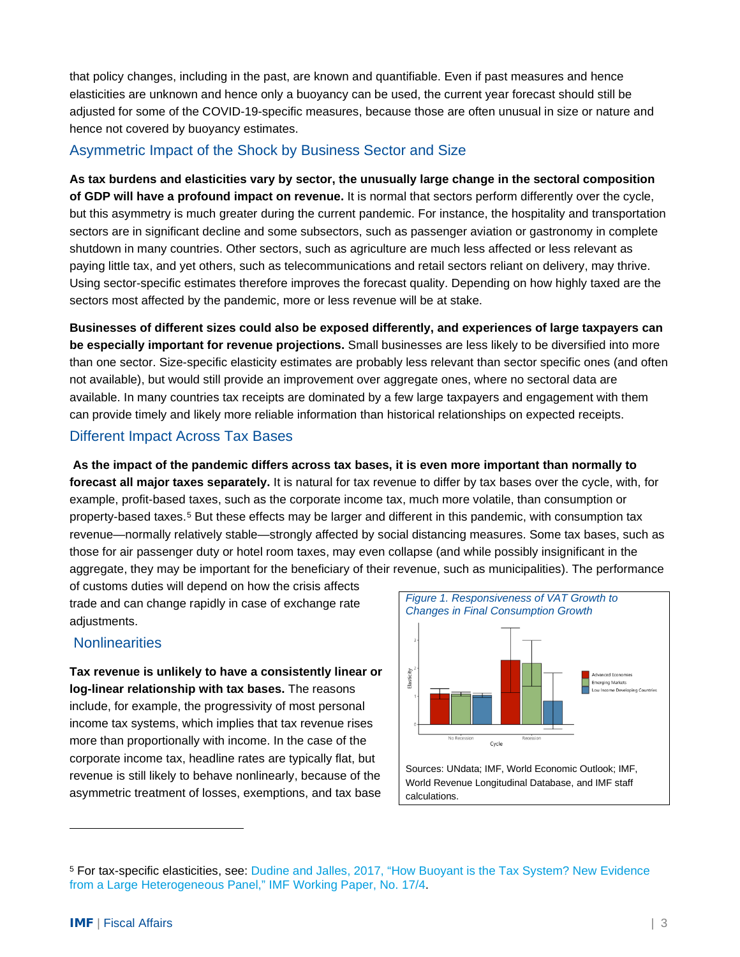that policy changes, including in the past, are known and quantifiable. Even if past measures and hence elasticities are unknown and hence only a buoyancy can be used, the current year forecast should still be adjusted for some of the COVID-19-specific measures, because those are often unusual in size or nature and hence not covered by buoyancy estimates.

## Asymmetric Impact of the Shock by Business Sector and Size

**As tax burdens and elasticities vary by sector, the unusually large change in the sectoral composition of GDP will have a profound impact on revenue.** It is normal that sectors perform differently over the cycle, but this asymmetry is much greater during the current pandemic. For instance, the hospitality and transportation sectors are in significant decline and some subsectors, such as passenger aviation or gastronomy in complete shutdown in many countries. Other sectors, such as agriculture are much less affected or less relevant as paying little tax, and yet others, such as telecommunications and retail sectors reliant on delivery, may thrive. Using sector-specific estimates therefore improves the forecast quality. Depending on how highly taxed are the sectors most affected by the pandemic, more or less revenue will be at stake.

**Businesses of different sizes could also be exposed differently, and experiences of large taxpayers can be especially important for revenue projections.** Small businesses are less likely to be diversified into more than one sector. Size-specific elasticity estimates are probably less relevant than sector specific ones (and often not available), but would still provide an improvement over aggregate ones, where no sectoral data are available. In many countries tax receipts are dominated by a few large taxpayers and engagement with them can provide timely and likely more reliable information than historical relationships on expected receipts.

### Different Impact Across Tax Bases

**As the impact of the pandemic differs across tax bases, it is even more important than normally to forecast all major taxes separately.** It is natural for tax revenue to differ by tax bases over the cycle, with, for example, profit-based taxes, such as the corporate income tax, much more volatile, than consumption or property-based taxes.[5](#page-2-0) But these effects may be larger and different in this pandemic, with consumption tax revenue—normally relatively stable—strongly affected by social distancing measures. Some tax bases, such as those for air passenger duty or hotel room taxes, may even collapse (and while possibly insignificant in the aggregate, they may be important for the beneficiary of their revenue, such as municipalities). The performance

of customs duties will depend on how the crisis affects trade and can change rapidly in case of exchange rate adiustments.

# **Nonlinearities**

**Tax revenue is unlikely to have a consistently linear or log-linear relationship with tax bases.** The reasons include, for example, the progressivity of most personal income tax systems, which implies that tax revenue rises more than proportionally with income. In the case of the corporate income tax, headline rates are typically flat, but revenue is still likely to behave nonlinearly, because of the asymmetric treatment of losses, exemptions, and tax base



<span id="page-2-0"></span><sup>5</sup> For tax-specific elasticities, see: [Dudine and Jalles, 2017, "How Buoyant is the Tax System? New Evidence](https://www.imf.org/%7E/media/Files/Publications/WP/wp1704.ashx)  [from a Large Heterogeneous Panel," IMF Working Paper, No. 17/4.](https://www.imf.org/%7E/media/Files/Publications/WP/wp1704.ashx)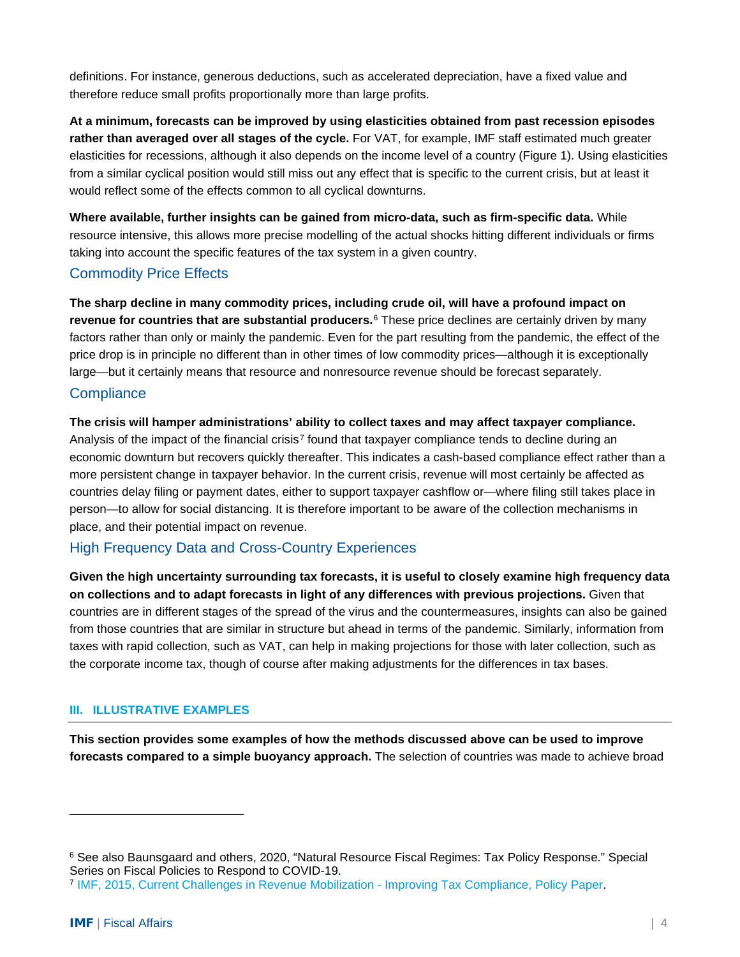definitions. For instance, generous deductions, such as accelerated depreciation, have a fixed value and therefore reduce small profits proportionally more than large profits.

**At a minimum, forecasts can be improved by using elasticities obtained from past recession episodes rather than averaged over all stages of the cycle.** For VAT, for example, IMF staff estimated much greater elasticities for recessions, although it also depends on the income level of a country (Figure 1). Using elasticities from a similar cyclical position would still miss out any effect that is specific to the current crisis, but at least it would reflect some of the effects common to all cyclical downturns.

**Where available, further insights can be gained from micro-data, such as firm-specific data.** While resource intensive, this allows more precise modelling of the actual shocks hitting different individuals or firms taking into account the specific features of the tax system in a given country.

# Commodity Price Effects

**The sharp decline in many commodity prices, including crude oil, will have a profound impact on revenue for countries that are substantial producers.**[6](#page-3-0) These price declines are certainly driven by many factors rather than only or mainly the pandemic. Even for the part resulting from the pandemic, the effect of the price drop is in principle no different than in other times of low commodity prices—although it is exceptionally large—but it certainly means that resource and nonresource revenue should be forecast separately.

# **Compliance**

**The crisis will hamper administrations' ability to collect taxes and may affect taxpayer compliance.** Analysis of the impact of the financial crisis<sup>[7](#page-3-1)</sup> found that taxpayer compliance tends to decline during an economic downturn but recovers quickly thereafter. This indicates a cash-based compliance effect rather than a more persistent change in taxpayer behavior. In the current crisis, revenue will most certainly be affected as countries delay filing or payment dates, either to support taxpayer cashflow or—where filing still takes place in person—to allow for social distancing. It is therefore important to be aware of the collection mechanisms in place, and their potential impact on revenue.

# High Frequency Data and Cross-Country Experiences

**Given the high uncertainty surrounding tax forecasts, it is useful to closely examine high frequency data on collections and to adapt forecasts in light of any differences with previous projections.** Given that countries are in different stages of the spread of the virus and the countermeasures, insights can also be gained from those countries that are similar in structure but ahead in terms of the pandemic. Similarly, information from taxes with rapid collection, such as VAT, can help in making projections for those with later collection, such as the corporate income tax, though of course after making adjustments for the differences in tax bases.

#### **III. ILLUSTRATIVE EXAMPLES**

**This section provides some examples of how the methods discussed above can be used to improve forecasts compared to a simple buoyancy approach.** The selection of countries was made to achieve broad

<span id="page-3-0"></span><sup>6</sup> See also Baunsgaard and others, 2020, "Natural Resource Fiscal Regimes: Tax Policy Response." Special Series on Fiscal Policies to Respond to COVID-19.

<span id="page-3-1"></span><sup>7</sup> [IMF, 2015, Current Challenges in Revenue Mobilization -](https://www.imf.org/%7E/media/Websites/IMF/imported-full-text-pdf/external/np/pp/eng/2015/_020215a.ashx) Improving Tax Compliance, Policy Paper.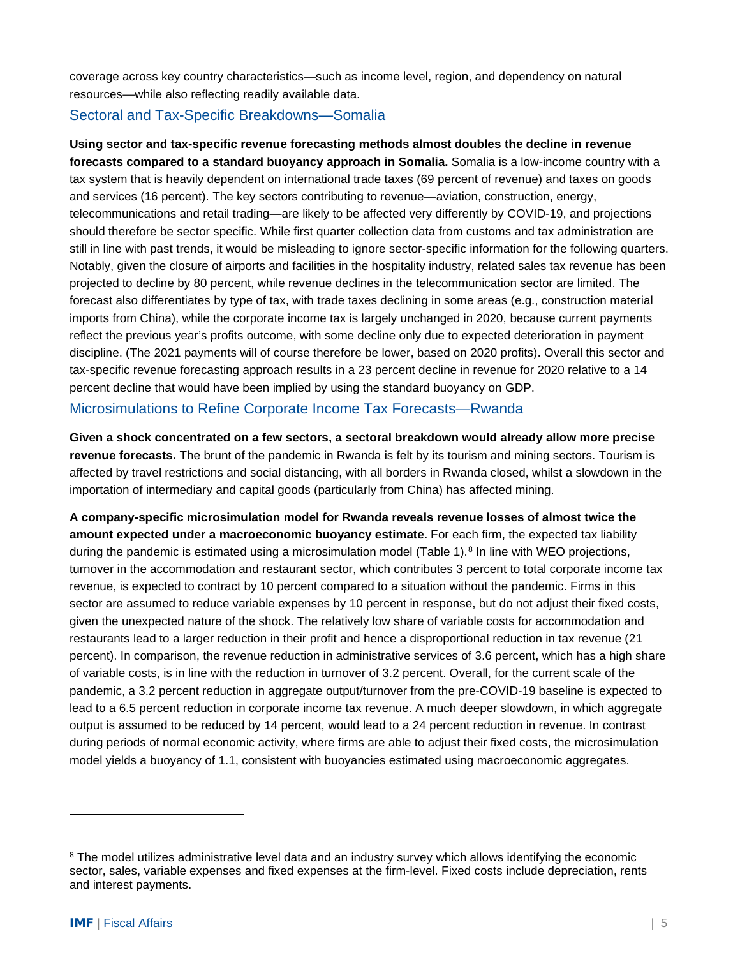coverage across key country characteristics—such as income level, region, and dependency on natural resources—while also reflecting readily available data.

#### Sectoral and Tax-Specific Breakdowns—Somalia

**Using sector and tax-specific revenue forecasting methods almost doubles the decline in revenue forecasts compared to a standard buoyancy approach in Somalia.** Somalia is a low-income country with a tax system that is heavily dependent on international trade taxes (69 percent of revenue) and taxes on goods and services (16 percent). The key sectors contributing to revenue—aviation, construction, energy, telecommunications and retail trading—are likely to be affected very differently by COVID-19, and projections should therefore be sector specific. While first quarter collection data from customs and tax administration are still in line with past trends, it would be misleading to ignore sector-specific information for the following quarters. Notably, given the closure of airports and facilities in the hospitality industry, related sales tax revenue has been projected to decline by 80 percent, while revenue declines in the telecommunication sector are limited. The forecast also differentiates by type of tax, with trade taxes declining in some areas (e.g., construction material imports from China), while the corporate income tax is largely unchanged in 2020, because current payments reflect the previous year's profits outcome, with some decline only due to expected deterioration in payment discipline. (The 2021 payments will of course therefore be lower, based on 2020 profits). Overall this sector and tax-specific revenue forecasting approach results in a 23 percent decline in revenue for 2020 relative to a 14 percent decline that would have been implied by using the standard buoyancy on GDP.

#### Microsimulations to Refine Corporate Income Tax Forecasts—Rwanda

**Given a shock concentrated on a few sectors, a sectoral breakdown would already allow more precise revenue forecasts.** The brunt of the pandemic in Rwanda is felt by its tourism and mining sectors. Tourism is affected by travel restrictions and social distancing, with all borders in Rwanda closed, whilst a slowdown in the importation of intermediary and capital goods (particularly from China) has affected mining.

**A company-specific microsimulation model for Rwanda reveals revenue losses of almost twice the amount expected under a macroeconomic buoyancy estimate.** For each firm, the expected tax liability during the pandemic is estimated using a microsimulation model (Table 1).<sup>[8](#page-4-0)</sup> In line with WEO projections, turnover in the accommodation and restaurant sector, which contributes 3 percent to total corporate income tax revenue, is expected to contract by 10 percent compared to a situation without the pandemic. Firms in this sector are assumed to reduce variable expenses by 10 percent in response, but do not adjust their fixed costs, given the unexpected nature of the shock. The relatively low share of variable costs for accommodation and restaurants lead to a larger reduction in their profit and hence a disproportional reduction in tax revenue (21 percent). In comparison, the revenue reduction in administrative services of 3.6 percent, which has a high share of variable costs, is in line with the reduction in turnover of 3.2 percent. Overall, for the current scale of the pandemic, a 3.2 percent reduction in aggregate output/turnover from the pre-COVID-19 baseline is expected to lead to a 6.5 percent reduction in corporate income tax revenue. A much deeper slowdown, in which aggregate output is assumed to be reduced by 14 percent, would lead to a 24 percent reduction in revenue. In contrast during periods of normal economic activity, where firms are able to adjust their fixed costs, the microsimulation model yields a buoyancy of 1.1, consistent with buoyancies estimated using macroeconomic aggregates.

<span id="page-4-0"></span><sup>&</sup>lt;sup>8</sup> The model utilizes administrative level data and an industry survey which allows identifying the economic sector, sales, variable expenses and fixed expenses at the firm-level. Fixed costs include depreciation, rents and interest payments.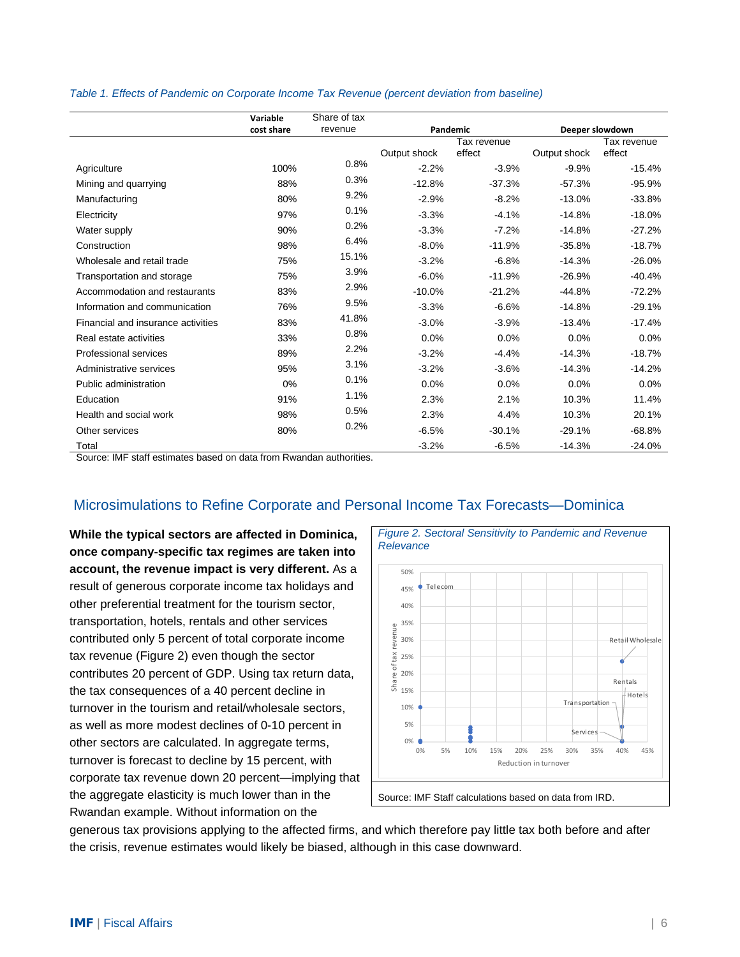|                                    | Variable   | Share of tax |              |          |                 |          |
|------------------------------------|------------|--------------|--------------|----------|-----------------|----------|
|                                    | cost share | revenue      | Pandemic     |          | Deeper slowdown |          |
|                                    |            |              | Tax revenue  |          | Tax revenue     |          |
|                                    |            |              | Output shock | effect   | Output shock    | effect   |
| Agriculture                        | 100%       | 0.8%         | $-2.2%$      | $-3.9%$  | $-9.9%$         | $-15.4%$ |
| Mining and quarrying               | 88%        | 0.3%         | $-12.8%$     | $-37.3%$ | $-57.3%$        | $-95.9%$ |
| Manufacturing                      | 80%        | 9.2%         | $-2.9%$      | $-8.2%$  | $-13.0%$        | $-33.8%$ |
| Electricity                        | 97%        | 0.1%         | $-3.3%$      | $-4.1%$  | $-14.8%$        | $-18.0%$ |
| Water supply                       | 90%        | 0.2%         | $-3.3%$      | $-7.2%$  | $-14.8%$        | $-27.2%$ |
| Construction                       | 98%        | 6.4%         | $-8.0%$      | $-11.9%$ | $-35.8%$        | $-18.7%$ |
| Wholesale and retail trade         | 75%        | 15.1%        | $-3.2%$      | $-6.8%$  | $-14.3%$        | $-26.0%$ |
| Transportation and storage         | 75%        | 3.9%         | $-6.0%$      | $-11.9%$ | $-26.9%$        | $-40.4%$ |
| Accommodation and restaurants      | 83%        | 2.9%         | $-10.0%$     | $-21.2%$ | $-44.8%$        | $-72.2%$ |
| Information and communication      | 76%        | 9.5%         | $-3.3%$      | $-6.6%$  | $-14.8%$        | $-29.1%$ |
| Financial and insurance activities | 83%        | 41.8%        | $-3.0%$      | $-3.9%$  | $-13.4%$        | $-17.4%$ |
| Real estate activities             | 33%        | 0.8%         | 0.0%         | 0.0%     | 0.0%            | 0.0%     |
| Professional services              | 89%        | 2.2%         | $-3.2%$      | $-4.4%$  | $-14.3%$        | $-18.7%$ |
| Administrative services            | 95%        | 3.1%         | $-3.2%$      | $-3.6%$  | $-14.3%$        | $-14.2%$ |
| Public administration              | 0%         | 0.1%         | 0.0%         | 0.0%     | 0.0%            | 0.0%     |
| Education                          | 91%        | 1.1%         | 2.3%         | 2.1%     | 10.3%           | 11.4%    |
| Health and social work             | 98%        | 0.5%         | 2.3%         | 4.4%     | 10.3%           | 20.1%    |
| Other services                     | 80%        | 0.2%         | $-6.5%$      | $-30.1%$ | $-29.1%$        | $-68.8%$ |
| Total                              |            |              | $-3.2%$      | $-6.5%$  | $-14.3%$        | $-24.0%$ |

#### *Table 1. Effects of Pandemic on Corporate Income Tax Revenue (percent deviation from baseline)*

Source: IMF staff estimates based on data from Rwandan authorities.

# Microsimulations to Refine Corporate and Personal Income Tax Forecasts—Dominica

**While the typical sectors are affected in Dominica, once company-specific tax regimes are taken into account, the revenue impact is very different.** As a result of generous corporate income tax holidays and other preferential treatment for the tourism sector, transportation, hotels, rentals and other services contributed only 5 percent of total corporate income tax revenue [\(Figure 2\)](#page-5-0) even though the sector contributes 20 percent of GDP. Using tax return data, the tax consequences of a 40 percent decline in turnover in the tourism and retail/wholesale sectors, as well as more modest declines of 0-10 percent in other sectors are calculated. In aggregate terms, turnover is forecast to decline by 15 percent, with corporate tax revenue down 20 percent—implying that the aggregate elasticity is much lower than in the Rwandan example. Without information on the

<span id="page-5-0"></span>

generous tax provisions applying to the affected firms, and which therefore pay little tax both before and after the crisis, revenue estimates would likely be biased, although in this case downward.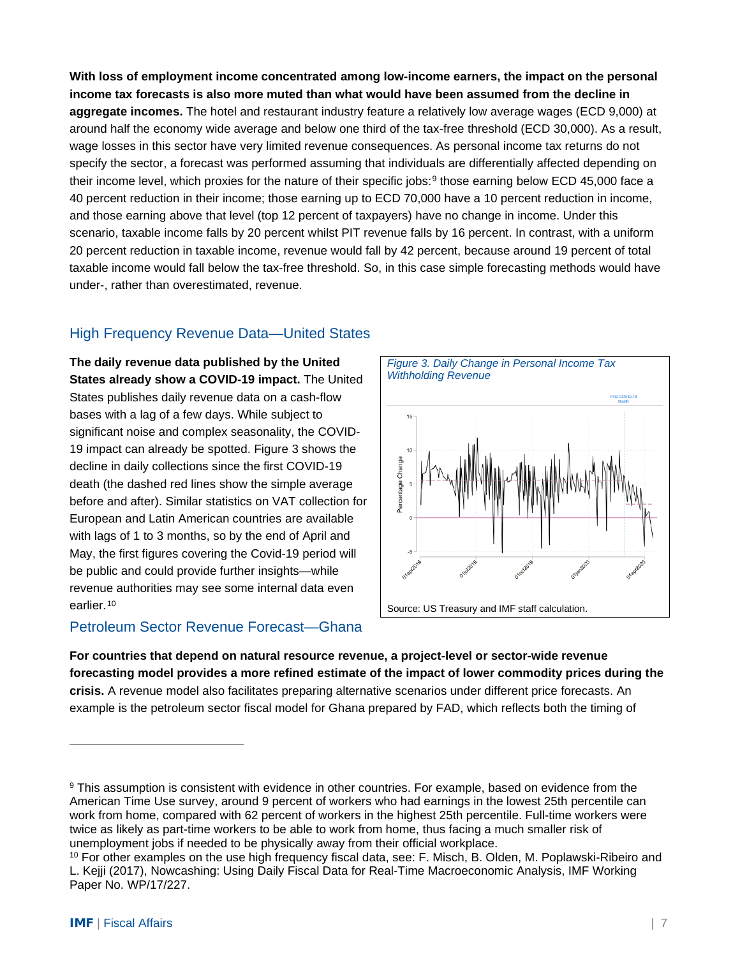**With loss of employment income concentrated among low-income earners, the impact on the personal income tax forecasts is also more muted than what would have been assumed from the decline in aggregate incomes.** The hotel and restaurant industry feature a relatively low average wages (ECD 9,000) at around half the economy wide average and below one third of the tax-free threshold (ECD 30,000). As a result, wage losses in this sector have very limited revenue consequences. As personal income tax returns do not specify the sector, a forecast was performed assuming that individuals are differentially affected depending on their income level, which proxies for the nature of their specific jobs:<sup>[9](#page-6-1)</sup> those earning below ECD 45,000 face a 40 percent reduction in their income; those earning up to ECD 70,000 have a 10 percent reduction in income, and those earning above that level (top 12 percent of taxpayers) have no change in income. Under this scenario, taxable income falls by 20 percent whilst PIT revenue falls by 16 percent. In contrast, with a uniform 20 percent reduction in taxable income, revenue would fall by 42 percent, because around 19 percent of total taxable income would fall below the tax-free threshold. So, in this case simple forecasting methods would have under-, rather than overestimated, revenue.

# High Frequency Revenue Data—United States

**The daily revenue data published by the United States already show a COVID-19 impact.** The United States publishes daily revenue data on a cash-flow bases with a lag of a few days. While subject to significant noise and complex seasonality, the COVID-19 impact can already be spotted. [Figure 3](#page-6-0) shows the decline in daily collections since the first COVID-19 death (the dashed red lines show the simple average before and after). Similar statistics on VAT collection for European and Latin American countries are available with lags of 1 to 3 months, so by the end of April and May, the first figures covering the Covid-19 period will be public and could provide further insights—while revenue authorities may see some internal data even earlier.<sup>[10](#page-6-2)</sup>

# Petroleum Sector Revenue Forecast—Ghana

<span id="page-6-0"></span>

**For countries that depend on natural resource revenue, a project-level or sector-wide revenue forecasting model provides a more refined estimate of the impact of lower commodity prices during the crisis.** A revenue model also facilitates preparing alternative scenarios under different price forecasts. An example is the petroleum sector fiscal model for Ghana prepared by FAD, which reflects both the timing of

<span id="page-6-1"></span><sup>9</sup> This assumption is consistent with evidence in other countries. For example, based on evidence from the American Time Use survey, around 9 percent of workers who had earnings in the lowest 25th percentile can work from home, compared with 62 percent of workers in the highest 25th percentile. Full-time workers were twice as likely as part-time workers to be able to work from home, thus facing a much smaller risk of unemployment jobs if needed to be physically away from their official workplace.

<span id="page-6-2"></span><sup>10</sup> For other examples on the use high frequency fiscal data, see: F. Misch, B. Olden, M. Poplawski-Ribeiro and L. Kejji (2017), Nowcashing: Using Daily Fiscal Data for Real-Time Macroeconomic Analysis, IMF Working Paper No. WP/17/227.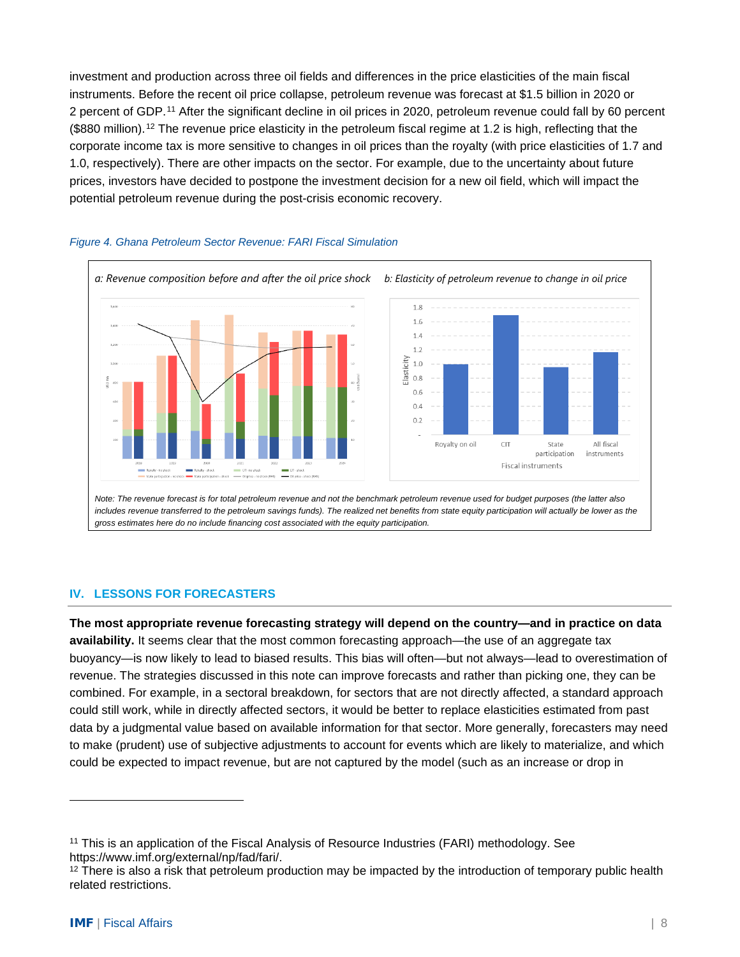investment and production across three oil fields and differences in the price elasticities of the main fiscal instruments. Before the recent oil price collapse, petroleum revenue was forecast at \$1.5 billion in 2020 or 2 percent of GDP.[11](#page-7-0) After the significant decline in oil prices in 2020, petroleum revenue could fall by 60 percent (\$880 million).<sup>[12](#page-7-1)</sup> The revenue price elasticity in the petroleum fiscal regime at 1.2 is high, reflecting that the corporate income tax is more sensitive to changes in oil prices than the royalty (with price elasticities of 1.7 and 1.0, respectively). There are other impacts on the sector. For example, due to the uncertainty about future prices, investors have decided to postpone the investment decision for a new oil field, which will impact the potential petroleum revenue during the post-crisis economic recovery.



#### *Figure 4. Ghana Petroleum Sector Revenue: FARI Fiscal Simulation*

includes revenue transferred to the petroleum savings funds). The realized net benefits from state equity participation will actually be lower as the *gross estimates here do no include financing cost associated with the equity participation.*

#### **IV. LESSONS FOR FORECASTERS**

**The most appropriate revenue forecasting strategy will depend on the country—and in practice on data availability.** It seems clear that the most common forecasting approach—the use of an aggregate tax buoyancy—is now likely to lead to biased results. This bias will often—but not always—lead to overestimation of revenue. The strategies discussed in this note can improve forecasts and rather than picking one, they can be combined. For example, in a sectoral breakdown, for sectors that are not directly affected, a standard approach could still work, while in directly affected sectors, it would be better to replace elasticities estimated from past data by a judgmental value based on available information for that sector. More generally, forecasters may need to make (prudent) use of subjective adjustments to account for events which are likely to materialize, and which could be expected to impact revenue, but are not captured by the model (such as an increase or drop in

<span id="page-7-0"></span><sup>&</sup>lt;sup>11</sup> This is an application of the Fiscal Analysis of Resource Industries (FARI) methodology. See https://www.imf.org/external/np/fad/fari/.

<span id="page-7-1"></span><sup>&</sup>lt;sup>12</sup> There is also a risk that petroleum production may be impacted by the introduction of temporary public health related restrictions.